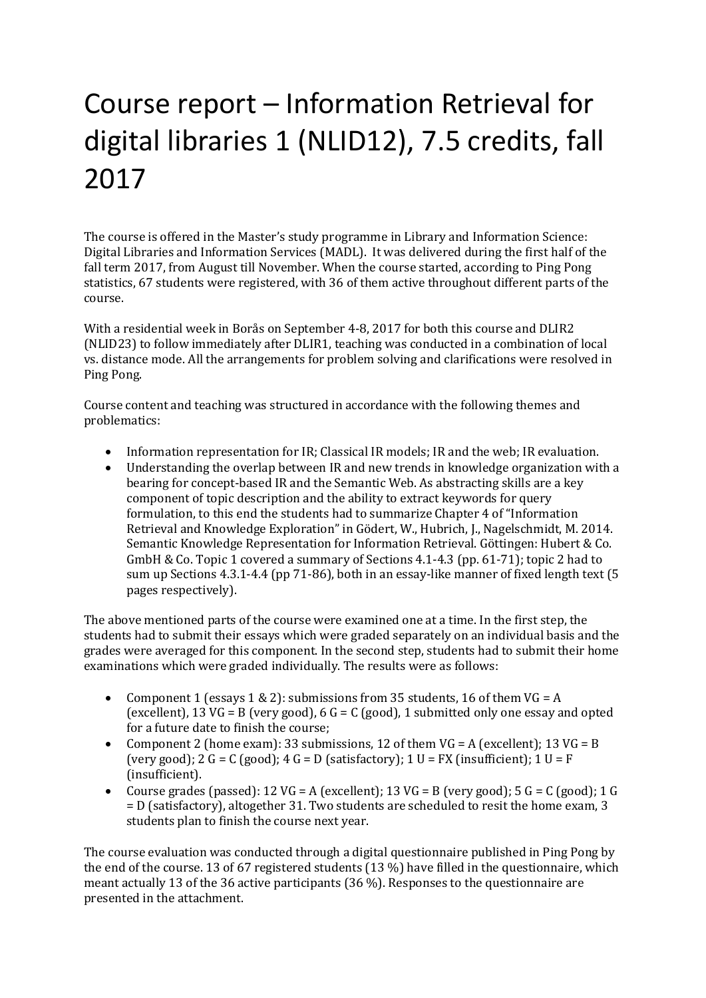# Course report – Information Retrieval for digital libraries 1 (NLID12), 7.5 credits, fall 2017

The course is offered in the Master's study programme in Library and Information Science: Digital Libraries and Information Services (MADL). It was delivered during the first half of the fall term 2017, from August till November. When the course started, according to Ping Pong statistics, 67 students were registered, with 36 of them active throughout different parts of the course.

With a residential week in Borås on September 4-8, 2017 for both this course and DLIR2 (NLID23) to follow immediately after DLIR1, teaching was conducted in a combination of local vs. distance mode. All the arrangements for problem solving and clarifications were resolved in Ping Pong.

Course content and teaching was structured in accordance with the following themes and problematics:

- Information representation for IR; Classical IR models; IR and the web; IR evaluation.
- Understanding the overlap between IR and new trends in knowledge organization with a bearing for concept-based IR and the Semantic Web. As abstracting skills are a key component of topic description and the ability to extract keywords for query formulation, to this end the students had to summarize Chapter 4 of "Information Retrieval and Knowledge Exploration" in Gödert, W., Hubrich, J., Nagelschmidt, M. 2014. Semantic Knowledge Representation for Information Retrieval. Göttingen: Hubert & Co. GmbH & Co. Topic 1 covered a summary of Sections 4.1-4.3 (pp. 61-71); topic 2 had to sum up Sections 4.3.1-4.4 (pp 71-86), both in an essay-like manner of fixed length text (5 pages respectively).

The above mentioned parts of the course were examined one at a time. In the first step, the students had to submit their essays which were graded separately on an individual basis and the grades were averaged for this component. In the second step, students had to submit their home examinations which were graded individually. The results were as follows:

- Component 1 (essays  $1 \& 2$ ): submissions from 35 students, 16 of them VG = A (excellent), 13 VG = B (very good), 6 G = C (good), 1 submitted only one essay and opted for a future date to finish the course;
- Component 2 (home exam): 33 submissions, 12 of them  $VG = A$  (excellent); 13  $VG = B$ (very good); 2 G = C (good); 4 G = D (satisfactory); 1 U = FX (insufficient); 1 U = F (insufficient).
- Course grades (passed):  $12 \text{ VG} = \text{A}$  (excellent);  $13 \text{ VG} = \text{B}$  (very good);  $5 \text{ G} = \text{C}$  (good);  $1 \text{ G}$ = D (satisfactory), altogether 31. Two students are scheduled to resit the home exam, 3 students plan to finish the course next year.

The course evaluation was conducted through a digital questionnaire published in Ping Pong by the end of the course. 13 of 67 registered students (13 %) have filled in the questionnaire, which meant actually 13 of the 36 active participants (36 %). Responses to the questionnaire are presented in the attachment.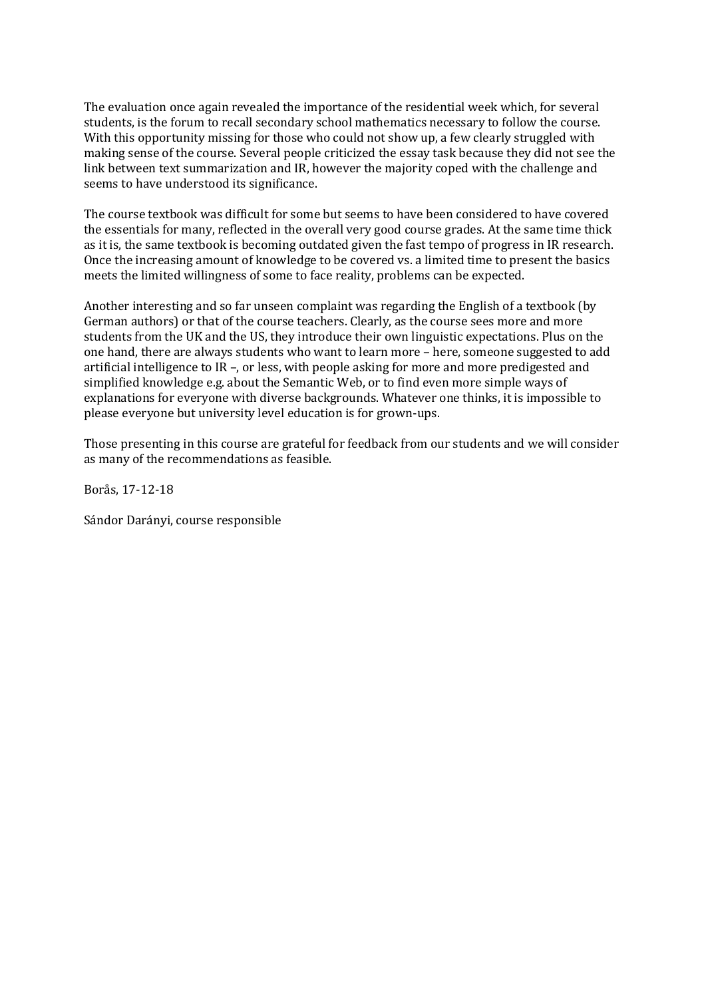The evaluation once again revealed the importance of the residential week which, for several students, is the forum to recall secondary school mathematics necessary to follow the course. With this opportunity missing for those who could not show up, a few clearly struggled with making sense of the course. Several people criticized the essay task because they did not see the link between text summarization and IR, however the majority coped with the challenge and seems to have understood its significance.

The course textbook was difficult for some but seems to have been considered to have covered the essentials for many, reflected in the overall very good course grades. At the same time thick as it is, the same textbook is becoming outdated given the fast tempo of progress in IR research. Once the increasing amount of knowledge to be covered vs. a limited time to present the basics meets the limited willingness of some to face reality, problems can be expected.

Another interesting and so far unseen complaint was regarding the English of a textbook (by German authors) or that of the course teachers. Clearly, as the course sees more and more students from the UK and the US, they introduce their own linguistic expectations. Plus on the one hand, there are always students who want to learn more – here, someone suggested to add artificial intelligence to IR –, or less, with people asking for more and more predigested and simplified knowledge e.g. about the Semantic Web, or to find even more simple ways of explanations for everyone with diverse backgrounds. Whatever one thinks, it is impossible to please everyone but university level education is for grown-ups.

Those presenting in this course are grateful for feedback from our students and we will consider as many of the recommendations as feasible.

Borås, 17-12-18

Sándor Darányi, course responsible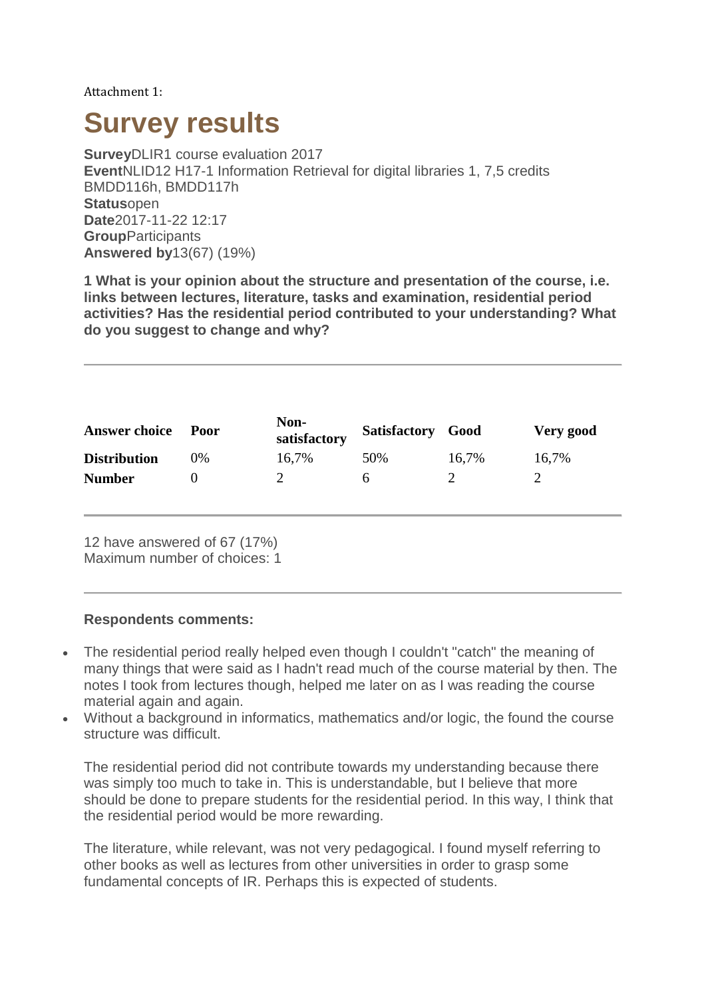Attachment 1:

# **Survey results**

**Survey**DLIR1 course evaluation 2017 **Event**NLID12 H17-1 Information Retrieval for digital libraries 1, 7,5 credits BMDD116h, BMDD117h **Status**open **Date**2017-11-22 12:17 **Group**Participants **Answered by**13(67) (19%)

**1 What is your opinion about the structure and presentation of the course, i.e. links between lectures, literature, tasks and examination, residential period activities? Has the residential period contributed to your understanding? What do you suggest to change and why?**

| <b>Answer choice</b> | Poor | Non-<br>satisfactory | Satisfactory Good |       | Very good |
|----------------------|------|----------------------|-------------------|-------|-----------|
| <b>Distribution</b>  | 0%   | 16,7%                | 50%               | 16,7% | 16,7%     |
| <b>Number</b>        |      |                      | n                 |       |           |

12 have answered of 67 (17%) Maximum number of choices: 1

#### **Respondents comments:**

- The residential period really helped even though I couldn't "catch" the meaning of many things that were said as I hadn't read much of the course material by then. The notes I took from lectures though, helped me later on as I was reading the course material again and again.
- Without a background in informatics, mathematics and/or logic, the found the course structure was difficult.

The residential period did not contribute towards my understanding because there was simply too much to take in. This is understandable, but I believe that more should be done to prepare students for the residential period. In this way, I think that the residential period would be more rewarding.

The literature, while relevant, was not very pedagogical. I found myself referring to other books as well as lectures from other universities in order to grasp some fundamental concepts of IR. Perhaps this is expected of students.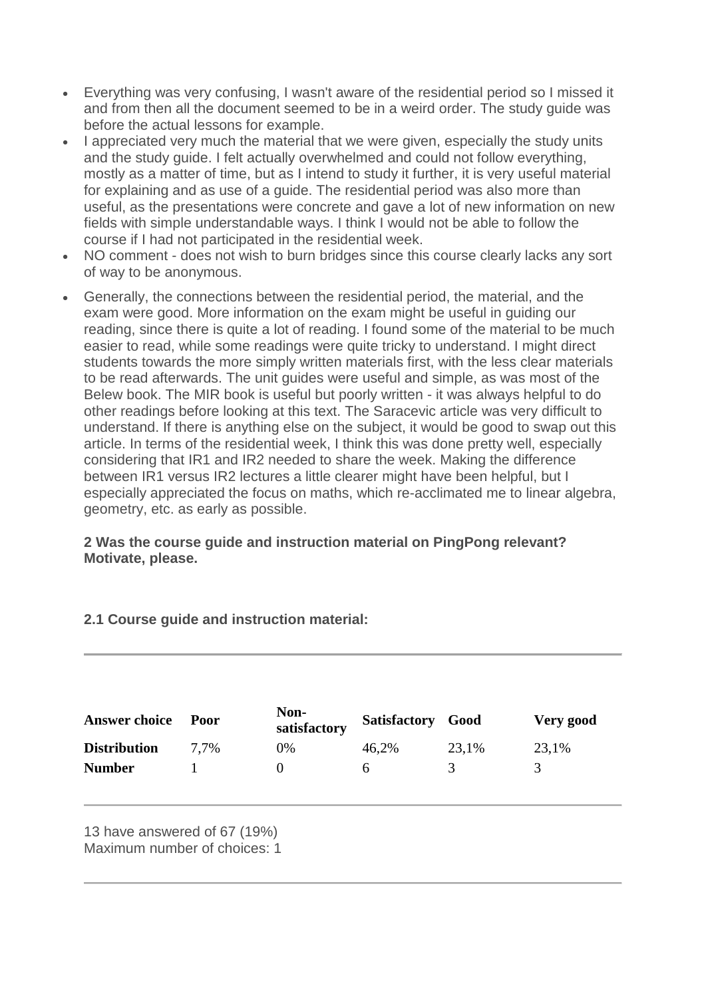- Everything was very confusing, I wasn't aware of the residential period so I missed it and from then all the document seemed to be in a weird order. The study guide was before the actual lessons for example.
- I appreciated very much the material that we were given, especially the study units and the study guide. I felt actually overwhelmed and could not follow everything, mostly as a matter of time, but as I intend to study it further, it is very useful material for explaining and as use of a guide. The residential period was also more than useful, as the presentations were concrete and gave a lot of new information on new fields with simple understandable ways. I think I would not be able to follow the course if I had not participated in the residential week.
- NO comment does not wish to burn bridges since this course clearly lacks any sort of way to be anonymous.
- Generally, the connections between the residential period, the material, and the exam were good. More information on the exam might be useful in guiding our reading, since there is quite a lot of reading. I found some of the material to be much easier to read, while some readings were quite tricky to understand. I might direct students towards the more simply written materials first, with the less clear materials to be read afterwards. The unit guides were useful and simple, as was most of the Belew book. The MIR book is useful but poorly written - it was always helpful to do other readings before looking at this text. The Saracevic article was very difficult to understand. If there is anything else on the subject, it would be good to swap out this article. In terms of the residential week, I think this was done pretty well, especially considering that IR1 and IR2 needed to share the week. Making the difference between IR1 versus IR2 lectures a little clearer might have been helpful, but I especially appreciated the focus on maths, which re-acclimated me to linear algebra, geometry, etc. as early as possible.

### **2 Was the course guide and instruction material on PingPong relevant? Motivate, please.**

# **2.1 Course guide and instruction material:**

| <b>Answer choice</b> | Poor | Non-<br>satisfactory | Satisfactory Good |       | Very good     |
|----------------------|------|----------------------|-------------------|-------|---------------|
| <b>Distribution</b>  | 7.7% | 0%                   | 46,2%             | 23,1% | 23,1%         |
| <b>Number</b>        |      |                      | h.                | 3     | $\mathcal{R}$ |

13 have answered of 67 (19%) Maximum number of choices: 1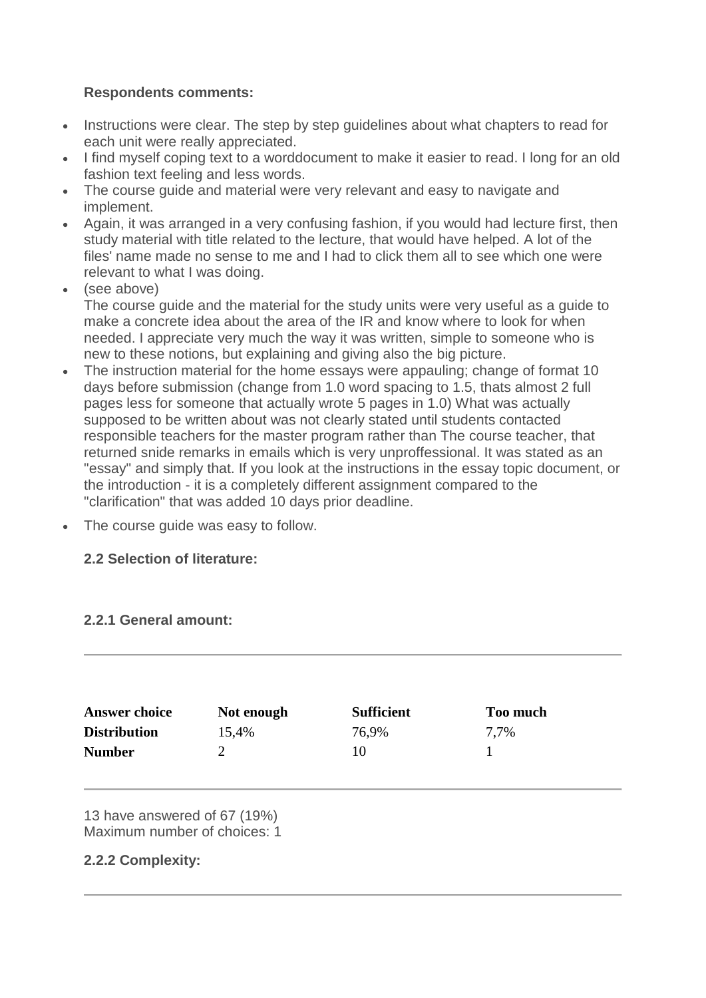# **Respondents comments:**

- Instructions were clear. The step by step quidelines about what chapters to read for each unit were really appreciated.
- I find myself coping text to a worddocument to make it easier to read. I long for an old fashion text feeling and less words.
- The course guide and material were very relevant and easy to navigate and implement.
- Again, it was arranged in a very confusing fashion, if you would had lecture first, then study material with title related to the lecture, that would have helped. A lot of the files' name made no sense to me and I had to click them all to see which one were relevant to what I was doing.
- (see above) The course guide and the material for the study units were very useful as a guide to make a concrete idea about the area of the IR and know where to look for when needed. I appreciate very much the way it was written, simple to someone who is new to these notions, but explaining and giving also the big picture.
- The instruction material for the home essays were appauling; change of format 10 days before submission (change from 1.0 word spacing to 1.5, thats almost 2 full pages less for someone that actually wrote 5 pages in 1.0) What was actually supposed to be written about was not clearly stated until students contacted responsible teachers for the master program rather than The course teacher, that returned snide remarks in emails which is very unproffessional. It was stated as an "essay" and simply that. If you look at the instructions in the essay topic document, or the introduction - it is a completely different assignment compared to the "clarification" that was added 10 days prior deadline.
- The course guide was easy to follow.

# **2.2 Selection of literature:**

# **2.2.1 General amount:**

| <b>Answer choice</b> | Not enough | <b>Sufficient</b> | <b>Too much</b> |
|----------------------|------------|-------------------|-----------------|
| <b>Distribution</b>  | 15,4%      | 76,9%             | 7,7%            |
| <b>Number</b>        |            | 10                |                 |

13 have answered of 67 (19%) Maximum number of choices: 1

# **2.2.2 Complexity:**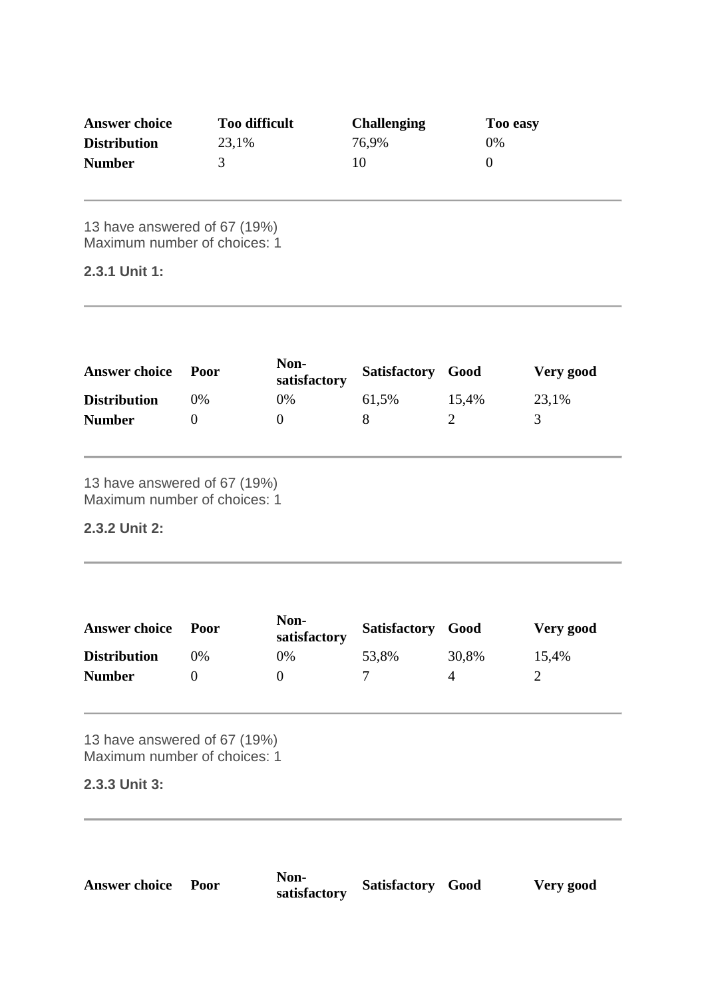| <b>Answer choice</b> | <b>Too difficult</b> | <b>Challenging</b> | Too easy |
|----------------------|----------------------|--------------------|----------|
| <b>Distribution</b>  | 23,1%                | 76,9%              | 0%       |
| <b>Number</b>        |                      | 10                 |          |

13 have answered of 67 (19%) Maximum number of choices: 1

#### **2.3.1 Unit 1:**

| <b>Answer choice</b> | Poor | Non-<br>satisfactory | Satisfactory Good |       | Very good |
|----------------------|------|----------------------|-------------------|-------|-----------|
| <b>Distribution</b>  | 0%   | 0%                   | 61,5%             | 15,4% | 23,1%     |
| <b>Number</b>        |      |                      |                   |       |           |

13 have answered of 67 (19%) Maximum number of choices: 1

# **2.3.2 Unit 2:**

| <b>Answer choice</b> | Poor | Non-<br>satisfactory | Satisfactory Good |       | Very good |
|----------------------|------|----------------------|-------------------|-------|-----------|
| <b>Distribution</b>  | )%   | $0\%$                | 53,8%             | 30,8% | 15,4%     |
| <b>Number</b>        |      |                      |                   | Æ     |           |

13 have answered of 67 (19%) Maximum number of choices: 1

#### **2.3.3 Unit 3:**

| <b>Answer choice Poor</b> | Non-              |
|---------------------------|-------------------|
|                           | $\sim$ + $\sim$ + |

**satisfactory Satisfactory Good Very good**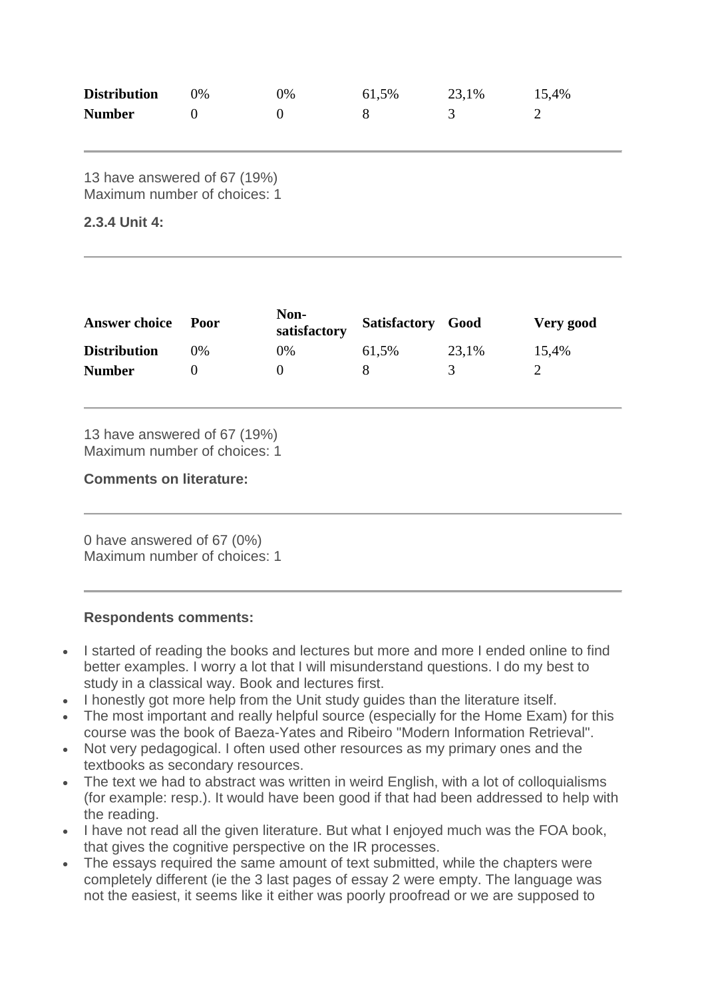| <b>Distribution</b> | በ% | 0% | 61,5% | 23,1% | 15,4% |
|---------------------|----|----|-------|-------|-------|
| <b>Number</b>       |    |    |       |       |       |

13 have answered of 67 (19%) Maximum number of choices: 1

#### **2.3.4 Unit 4:**

| <b>Answer choice</b> | Poor | Non-<br>satisfactory | Satisfactory Good |       | Very good |
|----------------------|------|----------------------|-------------------|-------|-----------|
| <b>Distribution</b>  | 9%   | 0%                   | 61,5%             | 23,1% | 15,4%     |
| <b>Number</b>        |      |                      |                   |       |           |

13 have answered of 67 (19%) Maximum number of choices: 1

**Comments on literature:**

0 have answered of 67 (0%) Maximum number of choices: 1

#### **Respondents comments:**

- I started of reading the books and lectures but more and more I ended online to find better examples. I worry a lot that I will misunderstand questions. I do my best to study in a classical way. Book and lectures first.
- I honestly got more help from the Unit study guides than the literature itself.
- The most important and really helpful source (especially for the Home Exam) for this course was the book of Baeza-Yates and Ribeiro "Modern Information Retrieval".
- Not very pedagogical. I often used other resources as my primary ones and the textbooks as secondary resources.
- The text we had to abstract was written in weird English, with a lot of colloquialisms (for example: resp.). It would have been good if that had been addressed to help with the reading.
- I have not read all the given literature. But what I enjoyed much was the FOA book, that gives the cognitive perspective on the IR processes.
- The essays required the same amount of text submitted, while the chapters were completely different (ie the 3 last pages of essay 2 were empty. The language was not the easiest, it seems like it either was poorly proofread or we are supposed to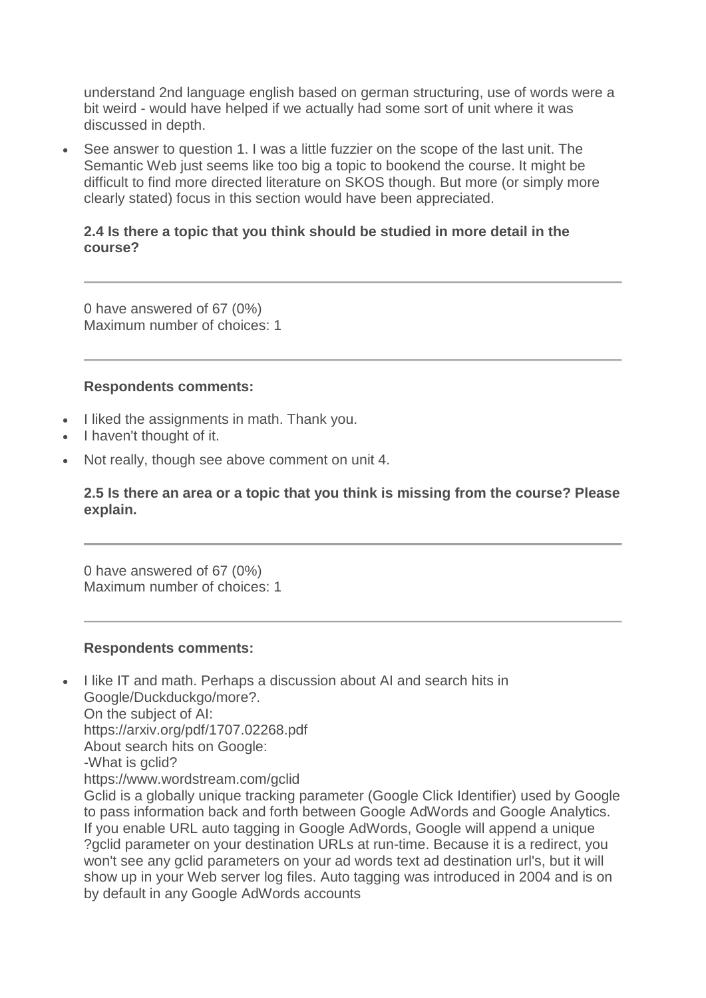understand 2nd language english based on german structuring, use of words were a bit weird - would have helped if we actually had some sort of unit where it was discussed in depth.

• See answer to question 1. I was a little fuzzier on the scope of the last unit. The Semantic Web just seems like too big a topic to bookend the course. It might be difficult to find more directed literature on SKOS though. But more (or simply more clearly stated) focus in this section would have been appreciated.

#### **2.4 Is there a topic that you think should be studied in more detail in the course?**

0 have answered of 67 (0%) Maximum number of choices: 1

#### **Respondents comments:**

- I liked the assignments in math. Thank you.
- I haven't thought of it.
- Not really, though see above comment on unit 4.

by default in any Google AdWords accounts

**2.5 Is there an area or a topic that you think is missing from the course? Please explain.**

0 have answered of 67 (0%) Maximum number of choices: 1

#### **Respondents comments:**

• I like IT and math. Perhaps a discussion about AI and search hits in Google/Duckduckgo/more?. On the subject of AI: https://arxiv.org/pdf/1707.02268.pdf About search hits on Google: -What is gclid? https://www.wordstream.com/gclid Gclid is a globally unique tracking parameter (Google Click Identifier) used by Google to pass information back and forth between Google AdWords and Google Analytics. If you enable URL auto tagging in Google AdWords, Google will append a unique ?gclid parameter on your destination URLs at run-time. Because it is a redirect, you won't see any gclid parameters on your ad words text ad destination url's, but it will show up in your Web server log files. Auto tagging was introduced in 2004 and is on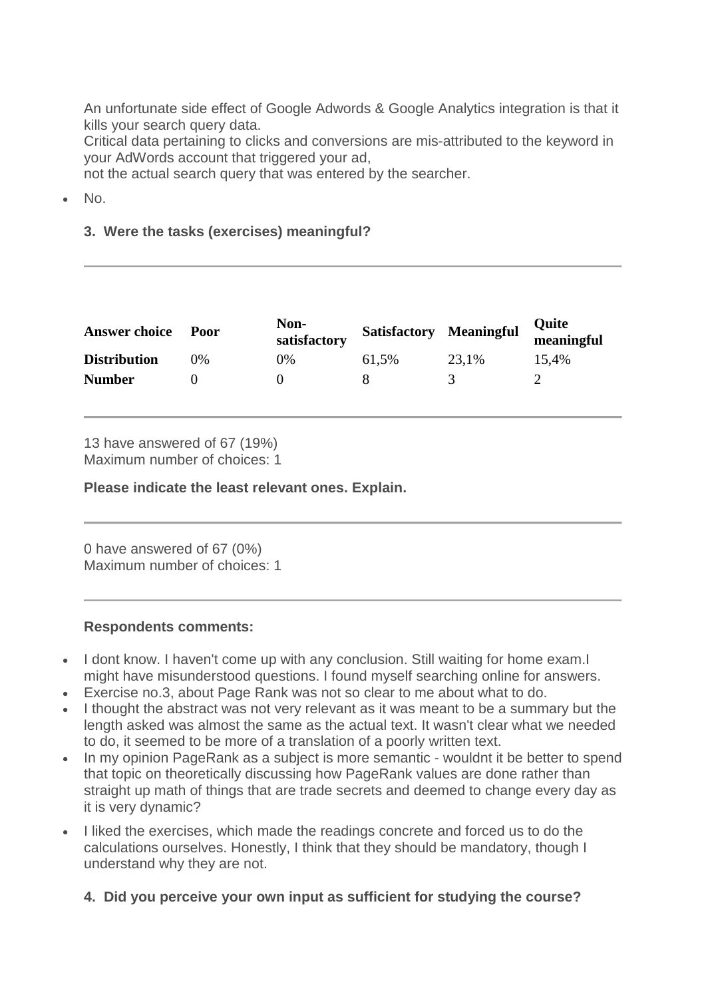An unfortunate side effect of Google Adwords & Google Analytics integration is that it kills your search query data.

Critical data pertaining to clicks and conversions are mis-attributed to the keyword in your AdWords account that triggered your ad,

not the actual search query that was entered by the searcher.

• No.

# **3. Were the tasks (exercises) meaningful?**

| <b>Answer choice</b> | Poor | Non-<br>satisfactory | <b>Satisfactory Meaningful</b> |       | Quite<br>meaningful |
|----------------------|------|----------------------|--------------------------------|-------|---------------------|
| <b>Distribution</b>  | 0%   | 0%                   | 61,5%                          | 23,1% | 15.4%               |
| <b>Number</b>        |      |                      |                                |       |                     |

13 have answered of 67 (19%) Maximum number of choices: 1

**Please indicate the least relevant ones. Explain.**

0 have answered of 67 (0%) Maximum number of choices: 1

#### **Respondents comments:**

- I dont know. I haven't come up with any conclusion. Still waiting for home exam. might have misunderstood questions. I found myself searching online for answers.
- Exercise no.3, about Page Rank was not so clear to me about what to do.
- I thought the abstract was not very relevant as it was meant to be a summary but the length asked was almost the same as the actual text. It wasn't clear what we needed to do, it seemed to be more of a translation of a poorly written text.
- In my opinion PageRank as a subject is more semantic wouldnt it be better to spend that topic on theoretically discussing how PageRank values are done rather than straight up math of things that are trade secrets and deemed to change every day as it is very dynamic?
- I liked the exercises, which made the readings concrete and forced us to do the calculations ourselves. Honestly, I think that they should be mandatory, though I understand why they are not.

**4. Did you perceive your own input as sufficient for studying the course?**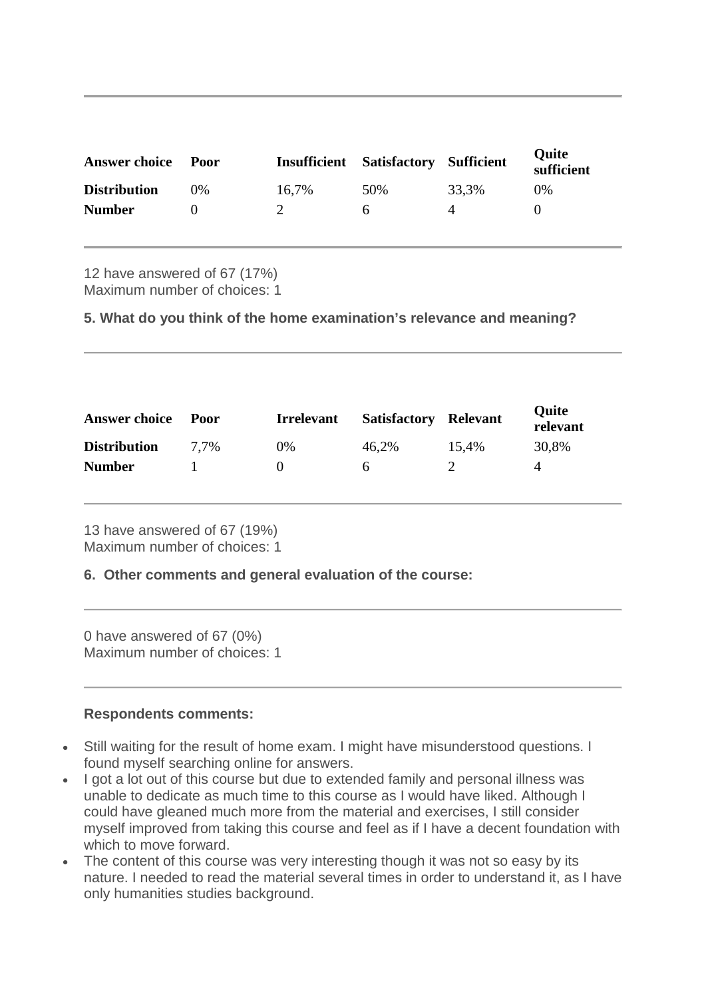| <b>Answer choice</b> | Poor    | <b>Insufficient Satisfactory Sufficient</b> |     |       | <b>Ouite</b><br>sufficient |
|----------------------|---------|---------------------------------------------|-----|-------|----------------------------|
| <b>Distribution</b>  | $(1)$ % | 16,7%                                       | 50% | 33,3% | $0\%$                      |
| <b>Number</b>        |         |                                             | h   |       |                            |

12 have answered of 67 (17%) Maximum number of choices: 1

**5. What do you think of the home examination's relevance and meaning?**

| <b>Answer choice</b> | Poor | <b>Irrelevant</b> | <b>Satisfactory</b> | Relevant | <b>Quite</b><br>relevant |
|----------------------|------|-------------------|---------------------|----------|--------------------------|
| <b>Distribution</b>  | 7.7% | $0\%$             | 46,2%               | 15.4%    | 30,8%                    |
| <b>Number</b>        |      | $\mathbf{\Omega}$ | 6                   |          | 4                        |

13 have answered of 67 (19%) Maximum number of choices: 1

#### **6. Other comments and general evaluation of the course:**

0 have answered of 67 (0%) Maximum number of choices: 1

#### **Respondents comments:**

- Still waiting for the result of home exam. I might have misunderstood questions. I found myself searching online for answers.
- I got a lot out of this course but due to extended family and personal illness was unable to dedicate as much time to this course as I would have liked. Although I could have gleaned much more from the material and exercises, I still consider myself improved from taking this course and feel as if I have a decent foundation with which to move forward.
- The content of this course was very interesting though it was not so easy by its nature. I needed to read the material several times in order to understand it, as I have only humanities studies background.